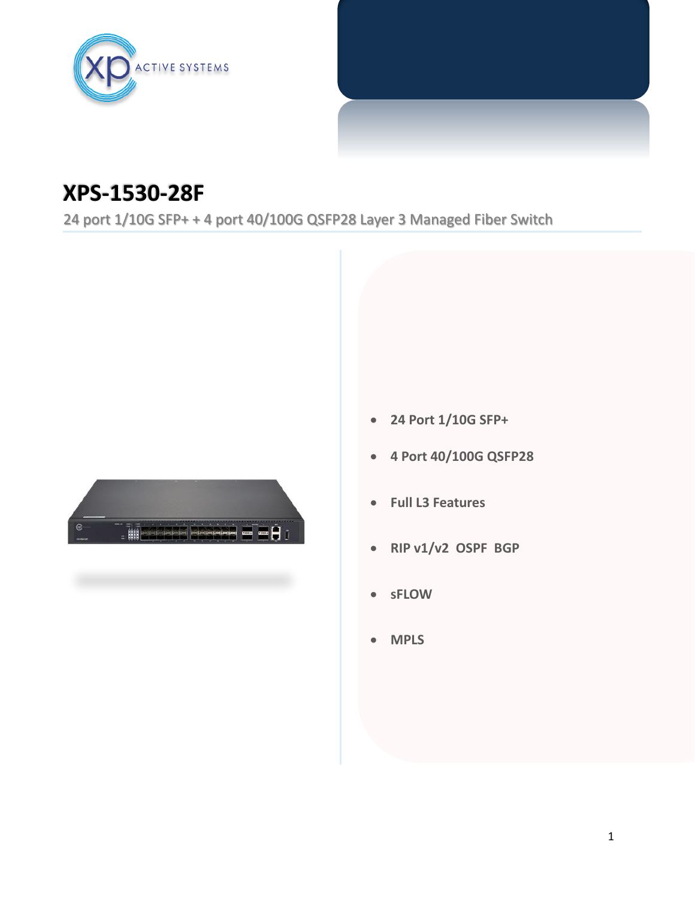

## **XPS-1530-28F**

24 port 1/10G SFP+ + 4 port 40/100G QSFP28 Layer 3 Managed Fiber Switch



- **24 Port 1/10G SFP+**
- **4 Port 40/100G QSFP28**
- **Full L3 Features**
- **RIP v1/v2 OSPF BGP**
- **sFLOW**
- **MPLS**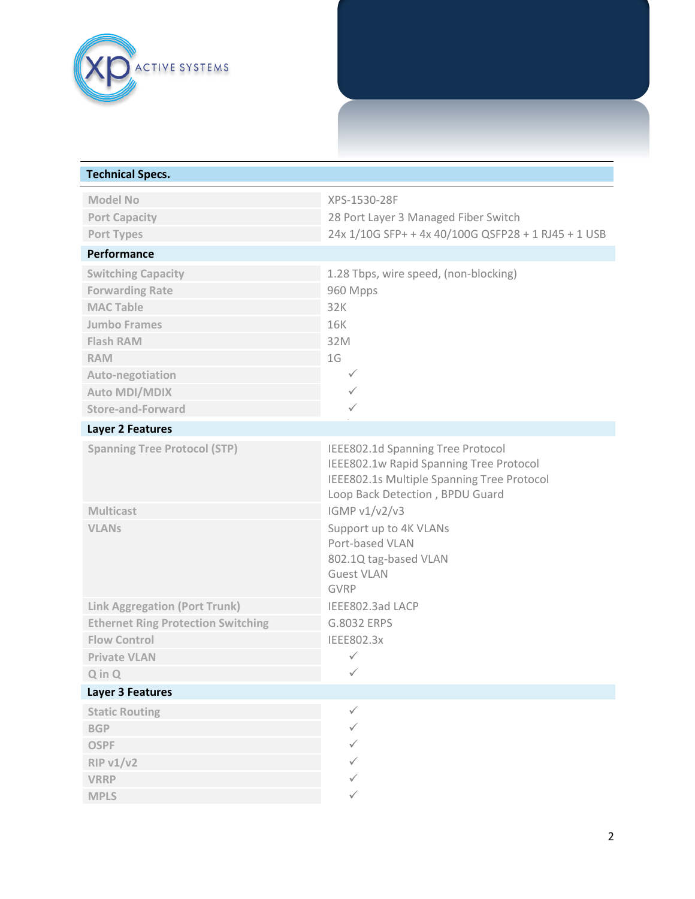

| <b>Technical Specs.</b>                   |                                                                                                                                                               |
|-------------------------------------------|---------------------------------------------------------------------------------------------------------------------------------------------------------------|
| <b>Model No</b>                           | XPS-1530-28F                                                                                                                                                  |
| <b>Port Capacity</b>                      | 28 Port Layer 3 Managed Fiber Switch                                                                                                                          |
| Port Types                                | 24x 1/10G SFP+ + 4x 40/100G QSFP28 + 1 RJ45 + 1 USB                                                                                                           |
| Performance                               |                                                                                                                                                               |
| <b>Switching Capacity</b>                 | 1.28 Tbps, wire speed, (non-blocking)                                                                                                                         |
| <b>Forwarding Rate</b>                    | 960 Mpps                                                                                                                                                      |
| <b>MAC Table</b>                          | 32K                                                                                                                                                           |
| <b>Jumbo Frames</b>                       | <b>16K</b>                                                                                                                                                    |
| <b>Flash RAM</b>                          | 32M                                                                                                                                                           |
| <b>RAM</b>                                | 1G                                                                                                                                                            |
| Auto-negotiation                          | $\checkmark$                                                                                                                                                  |
| <b>Auto MDI/MDIX</b>                      | ✓                                                                                                                                                             |
| Store-and-Forward                         | ✓                                                                                                                                                             |
| Layer 2 Features                          |                                                                                                                                                               |
| <b>Spanning Tree Protocol (STP)</b>       | IEEE802.1d Spanning Tree Protocol<br>IEEE802.1w Rapid Spanning Tree Protocol<br>IEEE802.1s Multiple Spanning Tree Protocol<br>Loop Back Detection, BPDU Guard |
| <b>Multicast</b>                          | IGMP v1/v2/v3                                                                                                                                                 |
| <b>VLANs</b>                              | Support up to 4K VLANs<br>Port-based VLAN<br>802.1Q tag-based VLAN<br><b>Guest VLAN</b><br><b>GVRP</b>                                                        |
| <b>Link Aggregation (Port Trunk)</b>      | IEEE802.3ad LACP                                                                                                                                              |
| <b>Ethernet Ring Protection Switching</b> | G.8032 ERPS                                                                                                                                                   |
| <b>Flow Control</b>                       | IEEE802.3x                                                                                                                                                    |
| <b>Private VLAN</b>                       | $\checkmark$                                                                                                                                                  |
| $Q$ in $Q$                                | ✓                                                                                                                                                             |
| <b>Layer 3 Features</b>                   |                                                                                                                                                               |
| <b>Static Routing</b>                     | $\checkmark$                                                                                                                                                  |
| <b>BGP</b>                                | ✓                                                                                                                                                             |
| <b>OSPF</b>                               |                                                                                                                                                               |
| <b>RIP v1/v2</b>                          |                                                                                                                                                               |
| <b>VRRP</b>                               |                                                                                                                                                               |
| <b>MPLS</b>                               | ✓                                                                                                                                                             |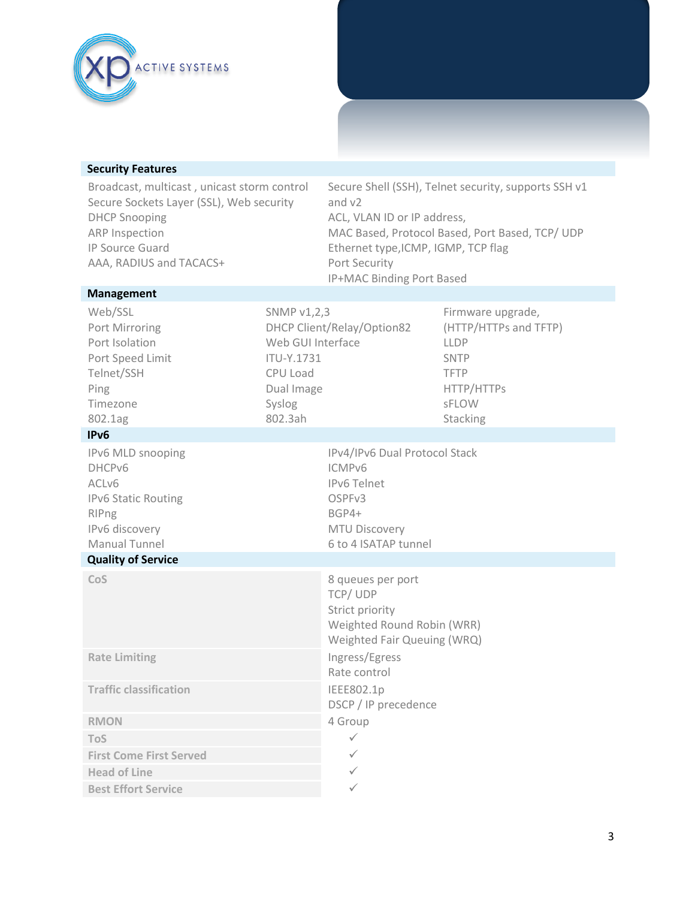

| Broadcast, multicast, unicast storm control | Secure Shell (SSH), Telnet security, supports SSH v1 |
|---------------------------------------------|------------------------------------------------------|
| Secure Sockets Layer (SSL), Web security    | and v2                                               |
| <b>DHCP Snooping</b>                        | ACL, VLAN ID or IP address,                          |
| ARP Inspection                              | MAC Based, Protocol Based, Port Based, TCP/ UDP      |
| IP Source Guard                             | Ethernet type, ICMP, IGMP, TCP flag                  |
| AAA, RADIUS and TACACS+                     | <b>Port Security</b>                                 |
|                                             | IP+MAC Binding Port Based                            |
| <b>Management</b>                           |                                                      |

| Web/SSL<br>Port Mirroring<br>Port Isolation<br>Port Speed Limit<br>Telnet/SSH<br>Ping<br>Timezone<br>802.1ag          | SNMP v1,2,3<br>Web GUI Interface<br><b>ITU-Y.1731</b><br>CPU Load<br>Dual Image<br>Syslog<br>802.3ah | DHCP Client/Relay/Option82                                                                                                       | Firmware upgrade,<br>(HTTP/HTTPs and TFTP)<br><b>LLDP</b><br><b>SNTP</b><br><b>TFTP</b><br>HTTP/HTTPs<br><b>SFLOW</b><br>Stacking |
|-----------------------------------------------------------------------------------------------------------------------|------------------------------------------------------------------------------------------------------|----------------------------------------------------------------------------------------------------------------------------------|-----------------------------------------------------------------------------------------------------------------------------------|
| IPv <sub>6</sub>                                                                                                      |                                                                                                      |                                                                                                                                  |                                                                                                                                   |
| IPv6 MLD snooping<br>DHCPv6<br>ACLv6<br><b>IPv6 Static Routing</b><br>RIPng<br>IPv6 discovery<br><b>Manual Tunnel</b> |                                                                                                      | IPv4/IPv6 Dual Protocol Stack<br>ICMPv6<br><b>IPv6 Telnet</b><br>OSPFv3<br>BGP4+<br><b>MTU Discovery</b><br>6 to 4 ISATAP tunnel |                                                                                                                                   |
| <b>Quality of Service</b>                                                                                             |                                                                                                      |                                                                                                                                  |                                                                                                                                   |
| CoS                                                                                                                   |                                                                                                      | 8 queues per port<br>TCP/UDP<br>Strict priority<br>Weighted Round Robin (WRR)<br>Weighted Fair Queuing (WRQ)                     |                                                                                                                                   |
| <b>Rate Limiting</b>                                                                                                  |                                                                                                      | Ingress/Egress<br>Rate control                                                                                                   |                                                                                                                                   |
| <b>Traffic classification</b>                                                                                         |                                                                                                      | IEEE802.1p<br>DSCP / IP precedence                                                                                               |                                                                                                                                   |
| <b>RMON</b>                                                                                                           |                                                                                                      | 4 Group                                                                                                                          |                                                                                                                                   |
| <b>ToS</b>                                                                                                            |                                                                                                      | $\checkmark$                                                                                                                     |                                                                                                                                   |
| <b>First Come First Served</b>                                                                                        |                                                                                                      | $\checkmark$                                                                                                                     |                                                                                                                                   |
| <b>Head of Line</b>                                                                                                   |                                                                                                      | ✓                                                                                                                                |                                                                                                                                   |
| <b>Best Effort Service</b>                                                                                            |                                                                                                      | ✓                                                                                                                                |                                                                                                                                   |